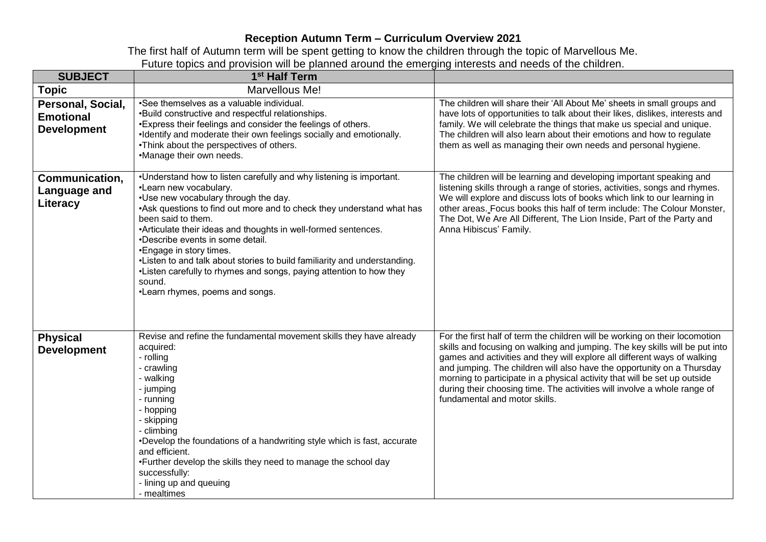## **Reception Autumn Term – Curriculum Overview 2021**

The first half of Autumn term will be spent getting to know the children through the topic of Marvellous Me. Future topics and provision will be planned around the emerging interests and needs of the children.

| <b>SUBJECT</b>                                              | 1 <sup>st</sup> Half Term                                                                                                                                                                                                                                                                                                                                                                                                                                                                                                                                              |                                                                                                                                                                                                                                                                                                                                                                                                                                                                                                            |
|-------------------------------------------------------------|------------------------------------------------------------------------------------------------------------------------------------------------------------------------------------------------------------------------------------------------------------------------------------------------------------------------------------------------------------------------------------------------------------------------------------------------------------------------------------------------------------------------------------------------------------------------|------------------------------------------------------------------------------------------------------------------------------------------------------------------------------------------------------------------------------------------------------------------------------------------------------------------------------------------------------------------------------------------------------------------------------------------------------------------------------------------------------------|
| <b>Topic</b>                                                | Marvellous Me!                                                                                                                                                                                                                                                                                                                                                                                                                                                                                                                                                         |                                                                                                                                                                                                                                                                                                                                                                                                                                                                                                            |
| Personal, Social,<br><b>Emotional</b><br><b>Development</b> | •See themselves as a valuable individual.<br>.Build constructive and respectful relationships.<br>*Express their feelings and consider the feelings of others.<br>•Identify and moderate their own feelings socially and emotionally.<br>.Think about the perspectives of others.<br>•Manage their own needs.                                                                                                                                                                                                                                                          | The children will share their 'All About Me' sheets in small groups and<br>have lots of opportunities to talk about their likes, dislikes, interests and<br>family. We will celebrate the things that make us special and unique.<br>The children will also learn about their emotions and how to regulate<br>them as well as managing their own needs and personal hygiene.                                                                                                                               |
| Communication,<br>Language and<br>Literacy                  | .Understand how to listen carefully and why listening is important.<br>•Learn new vocabulary.<br>.Use new vocabulary through the day.<br>•Ask questions to find out more and to check they understand what has<br>been said to them.<br>•Articulate their ideas and thoughts in well-formed sentences.<br>•Describe events in some detail.<br>•Engage in story times.<br>•Listen to and talk about stories to build familiarity and understanding.<br>•Listen carefully to rhymes and songs, paying attention to how they<br>sound.<br>•Learn rhymes, poems and songs. | The children will be learning and developing important speaking and<br>listening skills through a range of stories, activities, songs and rhymes.<br>We will explore and discuss lots of books which link to our learning in<br>other areas. Focus books this half of term include: The Colour Monster,<br>The Dot, We Are All Different, The Lion Inside, Part of the Party and<br>Anna Hibiscus' Family.                                                                                                 |
| <b>Physical</b><br><b>Development</b>                       | Revise and refine the fundamental movement skills they have already<br>acquired:<br>- rolling<br>- crawling<br>- walking<br>- jumping<br>- running<br>- hopping<br>- skipping<br>- climbing<br>•Develop the foundations of a handwriting style which is fast, accurate<br>and efficient.<br>•Further develop the skills they need to manage the school day<br>successfully:<br>- lining up and queuing<br>- mealtimes                                                                                                                                                  | For the first half of term the children will be working on their locomotion<br>skills and focusing on walking and jumping. The key skills will be put into<br>games and activities and they will explore all different ways of walking<br>and jumping. The children will also have the opportunity on a Thursday<br>morning to participate in a physical activity that will be set up outside<br>during their choosing time. The activities will involve a whole range of<br>fundamental and motor skills. |